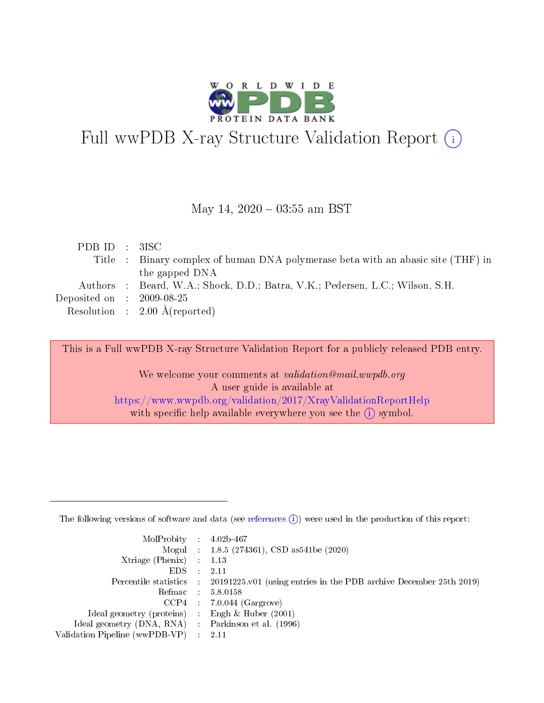

# Full wwPDB X-ray Structure Validation Report (i)

#### May 14,  $2020 - 03:55$  am BST

| PDBID : 3ISC                                                                     |  |
|----------------------------------------------------------------------------------|--|
| Title : Binary complex of human DNA polymerase beta with an abasic site (THF) in |  |
| the gapped DNA                                                                   |  |
| Authors : Beard, W.A.; Shock, D.D.; Batra, V.K.; Pedersen, L.C.; Wilson, S.H.    |  |
| Deposited on $\,$ : 2009-08-25 $\,$                                              |  |
| Resolution : $2.00 \text{ Å}$ (reported)                                         |  |

This is a Full wwPDB X-ray Structure Validation Report for a publicly released PDB entry.

We welcome your comments at validation@mail.wwpdb.org A user guide is available at <https://www.wwpdb.org/validation/2017/XrayValidationReportHelp> with specific help available everywhere you see the  $(i)$  symbol.

The following versions of software and data (see [references](https://www.wwpdb.org/validation/2017/XrayValidationReportHelp#references)  $(1)$ ) were used in the production of this report:

| $MolProbability$ 4.02b-467                          |               |                                                                                            |
|-----------------------------------------------------|---------------|--------------------------------------------------------------------------------------------|
|                                                     |               | Mogul : $1.8.5$ (274361), CSD as 541be (2020)                                              |
| Xtriage (Phenix) $: 1.13$                           |               |                                                                                            |
| EDS.                                                | $\mathcal{L}$ | -2.11                                                                                      |
|                                                     |               | Percentile statistics : 20191225.v01 (using entries in the PDB archive December 25th 2019) |
|                                                     |               | Refmac $5.8.0158$                                                                          |
| CCP4                                                |               | $7.0.044$ (Gargrove)                                                                       |
| Ideal geometry (proteins)                           | $\sim$        | Engh $\&$ Huber (2001)                                                                     |
| Ideal geometry (DNA, RNA) : Parkinson et al. (1996) |               |                                                                                            |
| Validation Pipeline (wwPDB-VP) : 2.11               |               |                                                                                            |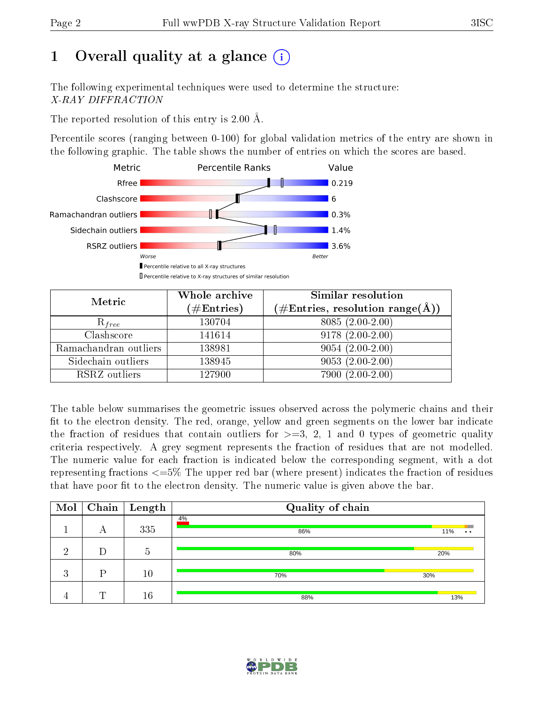# 1 [O](https://www.wwpdb.org/validation/2017/XrayValidationReportHelp#overall_quality)verall quality at a glance  $(i)$

The following experimental techniques were used to determine the structure: X-RAY DIFFRACTION

The reported resolution of this entry is 2.00 Å.

Percentile scores (ranging between 0-100) for global validation metrics of the entry are shown in the following graphic. The table shows the number of entries on which the scores are based.



| Metric                | Whole archive<br>$(\#\text{Entries})$ | Similar resolution<br>(#Entries, resolution range( $\AA$ )) |
|-----------------------|---------------------------------------|-------------------------------------------------------------|
| $R_{free}$            | 130704                                | $8085(2.00-2.00)$                                           |
| Clashscore            | 141614                                | $9178(2.00-2.00)$                                           |
| Ramachandran outliers | 138981                                | $9054(2.00-2.00)$                                           |
| Sidechain outliers    | 138945                                | $9053(2.00-2.00)$                                           |
| RSRZ outliers         | 127900                                | $7900(2.00-2.00)$                                           |

The table below summarises the geometric issues observed across the polymeric chains and their fit to the electron density. The red, orange, yellow and green segments on the lower bar indicate the fraction of residues that contain outliers for  $>=3, 2, 1$  and 0 types of geometric quality criteria respectively. A grey segment represents the fraction of residues that are not modelled. The numeric value for each fraction is indicated below the corresponding segment, with a dot representing fractions  $\epsilon=5\%$  The upper red bar (where present) indicates the fraction of residues that have poor fit to the electron density. The numeric value is given above the bar.

| Mol      |   | $\boxed{\text{Chain} \mid \text{Length}}$ | Quality of chain |                  |
|----------|---|-------------------------------------------|------------------|------------------|
|          | А | 335                                       | 4%<br>86%        | 11%<br>$\bullet$ |
| ച        |   | .5                                        | 80%              | 20%              |
| ാ<br>- 1 | D | 10                                        | 70%              | 30%              |
| -4       | m | 16                                        | 88%              | 13%              |

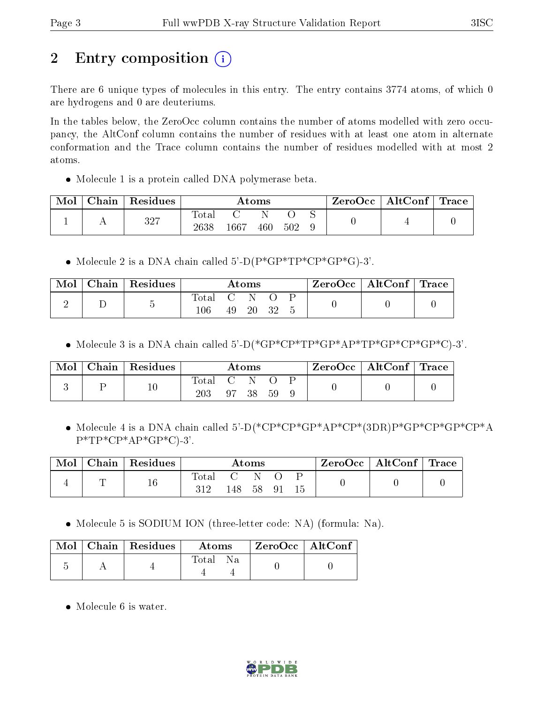# 2 Entry composition  $\left( \cdot \right)$

There are 6 unique types of molecules in this entry. The entry contains 3774 atoms, of which 0 are hydrogens and 0 are deuteriums.

In the tables below, the ZeroOcc column contains the number of atoms modelled with zero occupancy, the AltConf column contains the number of residues with at least one atom in alternate conformation and the Trace column contains the number of residues modelled with at most 2 atoms.

Molecule 1 is a protein called DNA polymerase beta.

| Mol | Chain | Residues |                      | Atoms    |     |     | ZeroOcc | $\mid$ AltConf $\mid$ Trace |  |  |
|-----|-------|----------|----------------------|----------|-----|-----|---------|-----------------------------|--|--|
|     |       | 327      | <b>Total</b><br>2638 | $1667\,$ | 460 | 502 |         |                             |  |  |

• Molecule 2 is a DNA chain called  $5^{\prime}$ -D(P\*GP\*TP\*CP\*GP\*G)-3'.

| Mol | Chain   Residues | $\bm{\mathrm{Atoms}}$ |                    | $ZeroOcc \   \ AltConf \  $ | $\perp$ Trace |  |  |  |
|-----|------------------|-----------------------|--------------------|-----------------------------|---------------|--|--|--|
|     |                  | <b>Total</b><br>106   | $\mathbf{C}$<br>49 | - 20-                       | - 32          |  |  |  |

Molecule 3 is a DNA chain called 5'-D(\*GP\*CP\*TP\*GP\*AP\*TP\*GP\*CP\*GP\*C)-3'.

| Mol | Chain   Residues | $\rm\bf Atoms$ |                    | $\rm ZeroOcc$   Alt $\rm Conf$   Trace |    |  |  |  |
|-----|------------------|----------------|--------------------|----------------------------------------|----|--|--|--|
|     | $10\,$           | Total<br>203   | $\mathbf{C}$<br>97 | -38                                    | 59 |  |  |  |

 Molecule 4 is a DNA chain called 5'-D(\*CP\*CP\*GP\*AP\*CP\*(3DR)P\*GP\*CP\*GP\*CP\*A  $P^*TP^*CP^*AP^*GP^*C$ -3'.

| Mol |   | Chain   Residues | Atoms        |                     |      | ZeroOcc   AltConf   Trace |  |  |  |
|-----|---|------------------|--------------|---------------------|------|---------------------------|--|--|--|
|     | ᠆ | $^{\rm 16}$      | Total<br>312 | $\mathbf{C}$<br>148 | - 58 | - 91                      |  |  |  |

• Molecule 5 is SODIUM ION (three-letter code: NA) (formula: Na).

|  | $\blacksquare$ Mol $\vert$ Chain $\vert$ Residues $\vert$ | Atoms | $\,$ ZeroOcc $\,$ AltConf $\,$ |  |
|--|-----------------------------------------------------------|-------|--------------------------------|--|
|  |                                                           | Total |                                |  |

• Molecule 6 is water.

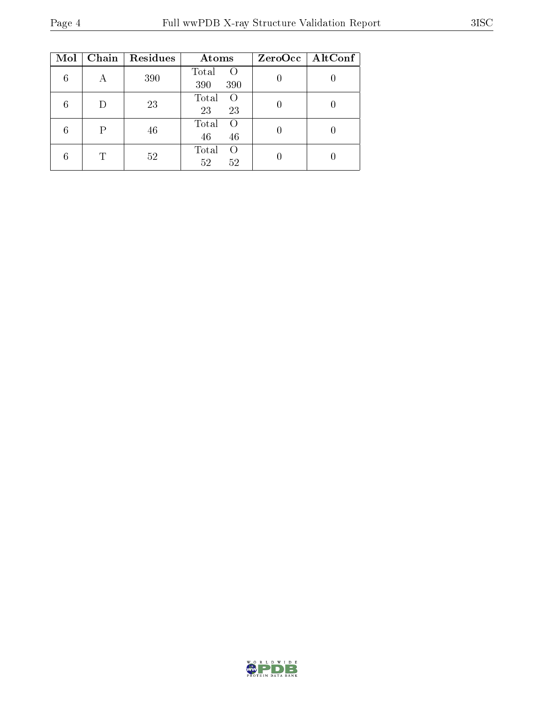| Mol | Chain | Residues | Atoms                                   | $ZeroOcc \mid AltConf \mid$ |
|-----|-------|----------|-----------------------------------------|-----------------------------|
| 6   | А     | 390      | Total<br>$\left( \right)$<br>390<br>390 |                             |
| 6   | D     | 23       | Total<br>$\left($<br>23<br>23           |                             |
| 6   | Р     | 46       | Total<br>$\Omega$<br>46<br>46           |                             |
| 6   | T     | 52       | Total<br>$\Omega$<br>52<br>52           |                             |

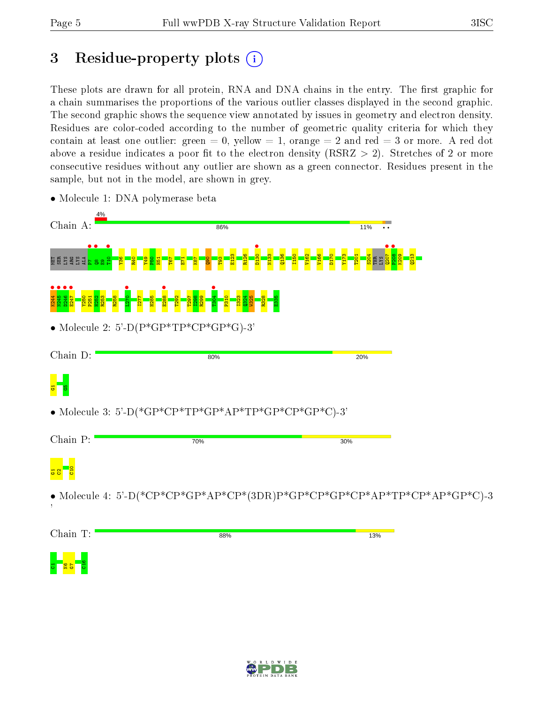# 3 Residue-property plots  $(i)$

These plots are drawn for all protein, RNA and DNA chains in the entry. The first graphic for a chain summarises the proportions of the various outlier classes displayed in the second graphic. The second graphic shows the sequence view annotated by issues in geometry and electron density. Residues are color-coded according to the number of geometric quality criteria for which they contain at least one outlier: green  $= 0$ , yellow  $= 1$ , orange  $= 2$  and red  $= 3$  or more. A red dot above a residue indicates a poor fit to the electron density (RSRZ  $> 2$ ). Stretches of 2 or more consecutive residues without any outlier are shown as a green connector. Residues present in the sample, but not in the model, are shown in grey.

| 4%<br>Chain A: | 86%                                                                       | 11% |  |
|----------------|---------------------------------------------------------------------------|-----|--|
|                |                                                                           |     |  |
|                |                                                                           |     |  |
|                | • Molecule 2: 5'-D( $P*GP*TP*CP*GP*GP*G$ )-3'                             |     |  |
| Chain D:       | 80%                                                                       | 20% |  |
|                |                                                                           |     |  |
|                | • Molecule 3: 5'-D(*GP*CP*TP*GP*AP*TP*GP*CP*GP*C)-3'                      |     |  |
| Chain P:       | 70%                                                                       | 30% |  |
|                |                                                                           |     |  |
|                | • Molecule 4: 5'-D(*CP*CP*GP*AP*CP*(3DR)P*GP*CP*GP*CP*AP*TP*CP*AP*GP*C)-3 |     |  |
| Chain T:       | 88%                                                                       | 13% |  |
|                |                                                                           |     |  |

• Molecule 1: DNA polymerase beta

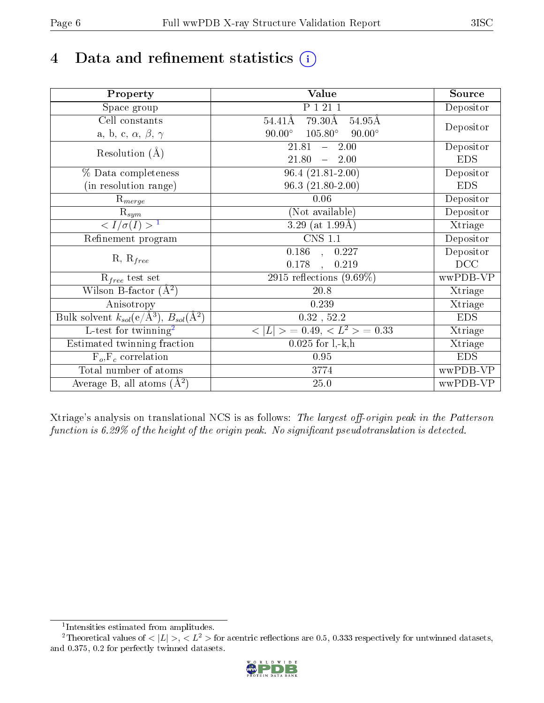# 4 Data and refinement statistics  $(i)$

| Property                                                             | Value                                            | Source     |
|----------------------------------------------------------------------|--------------------------------------------------|------------|
| Space group                                                          | P 1 21 1                                         | Depositor  |
| Cell constants                                                       | 79.30Å<br>$54.41\text{\AA}$<br>54.95Å            |            |
| a, b, c, $\alpha$ , $\beta$ , $\gamma$                               | $90.00^\circ$<br>$105.80^\circ$<br>$90.00^\circ$ | Depositor  |
| Resolution $(A)$                                                     | $-2.00$<br>21.81                                 | Depositor  |
|                                                                      | 21.80<br>$-2.00$                                 | <b>EDS</b> |
| % Data completeness                                                  | $\overline{96.4}$ $(21.81 - 2.00)$               | Depositor  |
| (in resolution range)                                                | $96.3(21.80-2.00)$                               | <b>EDS</b> |
| $R_{merge}$                                                          | 0.06                                             | Depositor  |
| $\mathrm{R}_{sym}$                                                   | (Not available)                                  | Depositor  |
| $\sqrt{I/\sigma(I)} > 1$                                             | 3.29 (at $1.99\text{\AA}$ )                      | Xtriage    |
| Refinement program                                                   | <b>CNS 1.1</b>                                   | Depositor  |
|                                                                      | $\overline{0.186}$ ,<br>0.227                    | Depositor  |
| $R, R_{free}$                                                        | 0.178<br>0.219<br>$\ddot{\phantom{a}}$           | DCC        |
| $\mathcal{R}_{free}$ test set                                        | 2915 reflections $(9.69\%)$                      | wwPDB-VP   |
| Wilson B-factor $(A^2)$                                              | 20.8                                             | Xtriage    |
| Anisotropy                                                           | 0.239                                            | Xtriage    |
| Bulk solvent $k_{sol}(e/\mathring{A}^3)$ , $B_{sol}(\mathring{A}^2)$ | $0.32$ , $52.2$                                  | <b>EDS</b> |
| L-test for twinning <sup>2</sup>                                     | $< L >$ = 0.49, $< L2$ = 0.33                    | Xtriage    |
| Estimated twinning fraction                                          | $0.025$ for $1, -k, h$                           | Xtriage    |
| $F_o, F_c$ correlation                                               | 0.95                                             | <b>EDS</b> |
| Total number of atoms                                                | 3774                                             | wwPDB-VP   |
| Average B, all atoms $(A^2)$                                         | $25.0\,$                                         | wwPDB-VP   |

Xtriage's analysis on translational NCS is as follows: The largest off-origin peak in the Patterson function is  $6.29\%$  of the height of the origin peak. No significant pseudotranslation is detected.

<sup>&</sup>lt;sup>2</sup>Theoretical values of  $\langle |L| \rangle$ ,  $\langle L^2 \rangle$  for acentric reflections are 0.5, 0.333 respectively for untwinned datasets, and 0.375, 0.2 for perfectly twinned datasets.



<span id="page-5-1"></span><span id="page-5-0"></span><sup>1</sup> Intensities estimated from amplitudes.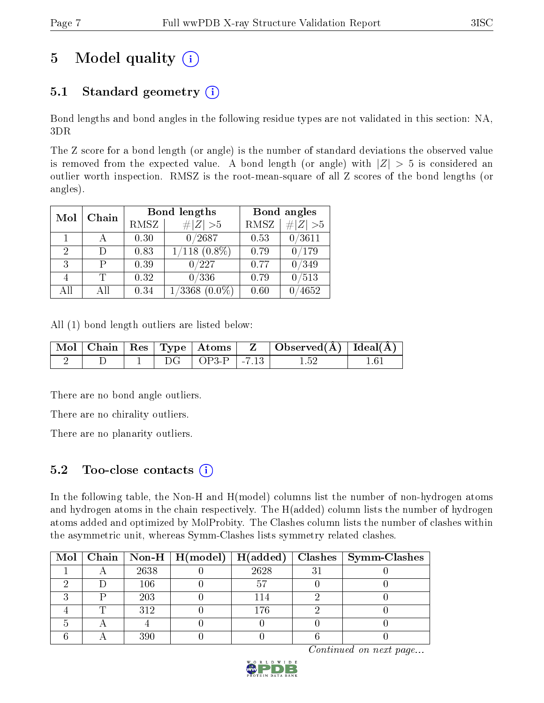# 5 Model quality  $(i)$

# 5.1 Standard geometry  $(i)$

Bond lengths and bond angles in the following residue types are not validated in this section: NA, 3DR

The Z score for a bond length (or angle) is the number of standard deviations the observed value is removed from the expected value. A bond length (or angle) with  $|Z| > 5$  is considered an outlier worth inspection. RMSZ is the root-mean-square of all Z scores of the bond lengths (or angles).

| Mol | Chain |      | Bond lengths                 | Bond angles |          |
|-----|-------|------|------------------------------|-------------|----------|
|     |       | RMSZ | # $ Z >5$                    | <b>RMSZ</b> | # Z  > 5 |
|     |       | 0.30 | 0/2687                       | 0.53        | 0/3611   |
| 2   | Ð     | 0.83 | $1/118$ $(0.8\%)$            | 0.79        | /179     |
| 3   | р     | 0.39 | 0/227                        | 0.77        | /349     |
|     | T     | 0.32 | 0/336                        | 0.79        | /513     |
| AH  | ΑH    | 0.34 | $^{\prime}3368$<br>$(0.0\%)$ | 0.60        | 4652     |

All (1) bond length outliers are listed below:

|  |  |                          | Mol   Chain   Res   Type   Atoms   Z   Observed(A)   Ideal(A) |  |
|--|--|--------------------------|---------------------------------------------------------------|--|
|  |  | $DG$   $OP3-P$   $-7.13$ |                                                               |  |

There are no bond angle outliers.

There are no chirality outliers.

There are no planarity outliers.

### 5.2 Too-close contacts  $(i)$

In the following table, the Non-H and H(model) columns list the number of non-hydrogen atoms and hydrogen atoms in the chain respectively. The H(added) column lists the number of hydrogen atoms added and optimized by MolProbity. The Clashes column lists the number of clashes within the asymmetric unit, whereas Symm-Clashes lists symmetry related clashes.

|  |      |      | Mol   Chain   Non-H   H(model)   H(added)   Clashes   Symm-Clashes |
|--|------|------|--------------------------------------------------------------------|
|  | 2638 | 2628 |                                                                    |
|  | 106  |      |                                                                    |
|  | 203  | 14   |                                                                    |
|  | 312  | -76  |                                                                    |
|  |      |      |                                                                    |
|  | 390  |      |                                                                    |

Continued on next page...

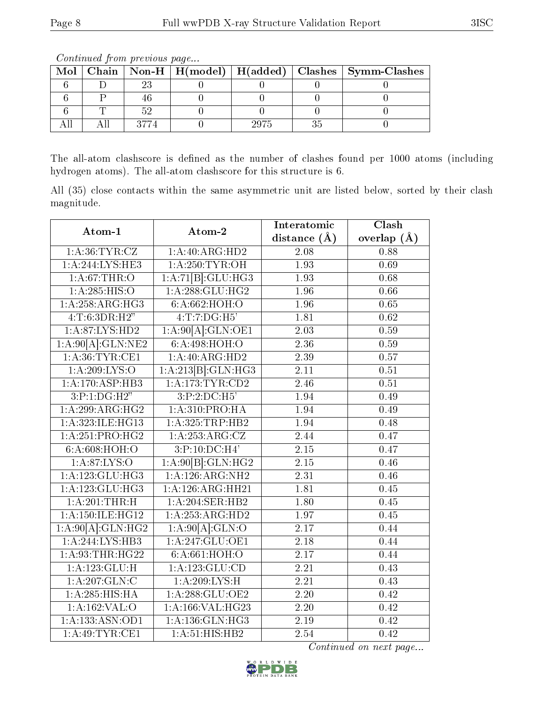| Mol |  |      | Chain   Non-H   H(model)   H(added)   Clashes   Symm-Clashes |
|-----|--|------|--------------------------------------------------------------|
|     |  |      |                                                              |
|     |  |      |                                                              |
|     |  |      |                                                              |
|     |  | 2975 |                                                              |

Continued from previous page...

The all-atom clashscore is defined as the number of clashes found per 1000 atoms (including hydrogen atoms). The all-atom clashscore for this structure is 6.

All (35) close contacts within the same asymmetric unit are listed below, sorted by their clash magnitude.

| Atom-1                        | Atom-2                     | Interatomic       | Clash             |
|-------------------------------|----------------------------|-------------------|-------------------|
|                               |                            | distance $(A)$    | overlap $(\AA)$   |
| 1: A:36:TYR:CZ                | 1:A:40:ARG:HD2             | $\overline{2.08}$ | 0.88              |
| 1:A:244:LYS:HE3               | 1: A:250:TYR:OH            | 1.93              | 0.69              |
| 1: A:67:THR:O                 | 1:A:71[B]:GLU:HG3          | 1.93              | 0.68              |
| 1:A:285:HIS:O                 | 1:A:288:GLU:HG2            | 1.96              | 0.66              |
| 1:A:258:ARG:HG3               | 6:A:662:HOH:O              | 1.96              | 0.65              |
| 4:T:6:3DR:H2"                 | 4:T:7:DG:H5'               | 1.81              | 0.62              |
| 1:A:87:LYS:HD2                | 1:A:90[A]:GLN:OE1          | $\overline{2.03}$ | 0.59              |
| 1:A:90[A]:GLN:NE2             | $6:\overline{A:498:HOH:O}$ | 2.36              | 0.59              |
| 1: A:36:TYR:CE1               | 1:A:40:ARG:HD2             | 2.39              | 0.57              |
| 1: A:209: LYS:O               | 1:A:213[B]:GLN:HG3         | $\overline{2.11}$ | 0.51              |
| 1:A:170:ASP:HB3               | 1: A:173: TYR: CD2         | 2.46              | 0.51              |
| 3:P:1:DG:H2"                  | 3:P:2:DC:H5'               | 1.94              | 0.49              |
| 1:A:299:ARG:HG2               | 1: A:310: PRO:HA           | 1.94              | 0.49              |
| 1:A:323:ILE:HG13              | 1:A:325:TRP:HB2            | 1.94              | 0.48              |
| 1: A:251: PRO:HG2             | 1:A:253:ARG:CZ             | 2.44              | 0.47              |
| 6: A:608:HOH:O                | 3:P:10:DC:H4'              | 2.15              | 0.47              |
| 1: A:87:LYS:O                 | 1:A:90[B]:GLN:HG2          | 2.15              | 0.46              |
| 1:A:123:GLU:HG3               | 1:A:126:ARG:NH2            | $\overline{2.31}$ | 0.46              |
| 1: A: 123: GLU: HG3           | 1:A:126:ARG:HH21           | 1.81              | 0.45              |
| $1:\overline{A:201:THR:H}$    | 1:A:204:SER:HB2            | 1.80              | $\overline{0.45}$ |
| 1:A:150:ILE:HG12              | 1:A:253:ARG:HD2            | 1.97              | 0.45              |
| 1:A:90[A]:GLN:HG2             | 1:A:90[A]:GLN:O            | $\overline{2.17}$ | 0.44              |
| 1: A:244:LYS:HB3              | 1: A:247: GLU:OE1          | 2.18              | 0.44              |
| 1: A:93:THR:HG22              | 6:A:661:HOH:O              | 2.17              | 0.44              |
| 1: A: 123: GLU: H             | 1:A:123:GLU:CD             | $\overline{2.21}$ | 0.43              |
| 1:A:207:GLN:C                 | 1:A:209:LYS:H              | 2.21              | 0.43              |
| 1: A:285: HIS: HA             | 1: A:288: GLU:OE2          | 2.20              | 0.42              |
| 1: A: 162: VAL: O             | 1:A:166:VAL:HG23           | 2.20              | 0.42              |
| 1: A: 133: ASN: OD1           | 1:A:136:GLN:HG3            | 2.19              | 0.42              |
| $1: A:49:TYR: \overline{CE1}$ | 1: A:51: HIS: HB2          | 2.54              | 0.42              |

Continued on next page...

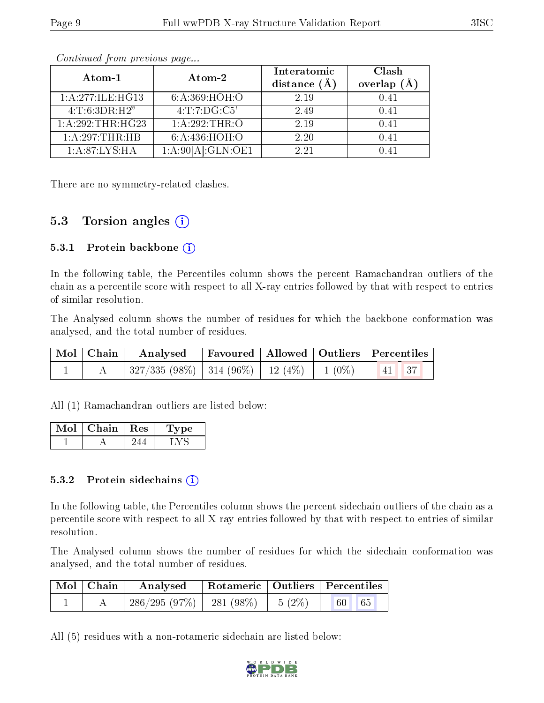|--|--|

| Atom-1              | Atom-2            | Interatomic<br>distance $(A)$ | Clash<br>overlap $(A)$ |
|---------------------|-------------------|-------------------------------|------------------------|
| 1: A:277: ILE: HG13 | 6:A:369:HOH:O     | 2.19                          | 0.41                   |
| 4: T: 6:3DR:H2"     | 4: T: 7: DG: C5'  | 2.49                          | 0.41                   |
| 1:A:292:THR:HG23    | 1:A:292:THR:O     | 2.19                          | 0.41                   |
| 1:A:297:THR:HB      | 6:A:436:HOH:O     | 2.20                          | 0.41                   |
| 1: A:87:LYS:HA      | 1:A:90[A]:GLN:OE1 | 2.21                          | በ 41                   |

Continued from previous page...

There are no symmetry-related clashes.

### 5.3 Torsion angles  $(i)$

#### 5.3.1 Protein backbone  $(i)$

In the following table, the Percentiles column shows the percent Ramachandran outliers of the chain as a percentile score with respect to all X-ray entries followed by that with respect to entries of similar resolution.

The Analysed column shows the number of residues for which the backbone conformation was analysed, and the total number of residues.

| Mol   Chain | $\boldsymbol{\mathrm{Analysed}}$                                          |  | Favoured   Allowed   Outliers   Percentiles                      |
|-------------|---------------------------------------------------------------------------|--|------------------------------------------------------------------|
|             | $\mid$ 327/335 (98%) $\mid$ 314 (96%) $\mid$ 12 (4%) $\mid$ 1 (0%) $\mid$ |  | $\begin{array}{ c c c c c } \hline 41 & 37 \ \hline \end{array}$ |

All (1) Ramachandran outliers are listed below:

| Mol | Chain | $\pm$ Res $^+$ | L'vpe |
|-----|-------|----------------|-------|
|     |       |                |       |

#### 5.3.2 Protein sidechains  $\left( \mathbf{i} \right)$

In the following table, the Percentiles column shows the percent sidechain outliers of the chain as a percentile score with respect to all X-ray entries followed by that with respect to entries of similar resolution.

The Analysed column shows the number of residues for which the sidechain conformation was analysed, and the total number of residues.

| Mol   Chain | Analysed                     |                   | Rotameric   Outliers   Percentiles |
|-------------|------------------------------|-------------------|------------------------------------|
|             | $286/295(97\%)$   281 (98\%) | $1\quad 5\ (2\%)$ | 65<br>60 <sup>1</sup>              |

All (5) residues with a non-rotameric sidechain are listed below:

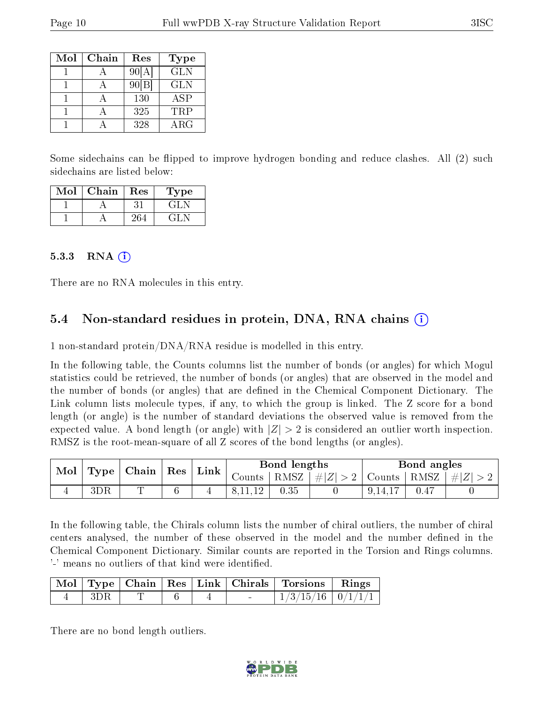| Mol | Chain | Res   | Type       |
|-----|-------|-------|------------|
|     |       | 90[A] | <b>GLN</b> |
|     |       | 90 B  | <b>GLN</b> |
|     |       | 130   | <b>ASP</b> |
|     |       | 325   | <b>TRP</b> |
|     |       | 328   | $\rm{ARG}$ |

Some sidechains can be flipped to improve hydrogen bonding and reduce clashes. All (2) such sidechains are listed below:

| Mol | Chain | Res | Type' |
|-----|-------|-----|-------|
|     |       |     | GL N  |
|     |       | 264 | $-GL$ |

#### 5.3.3 RNA  $(i)$

There are no RNA molecules in this entry.

### 5.4 Non-standard residues in protein, DNA, RNA chains  $(i)$

1 non-standard protein/DNA/RNA residue is modelled in this entry.

In the following table, the Counts columns list the number of bonds (or angles) for which Mogul statistics could be retrieved, the number of bonds (or angles) that are observed in the model and the number of bonds (or angles) that are defined in the Chemical Component Dictionary. The Link column lists molecule types, if any, to which the group is linked. The Z score for a bond length (or angle) is the number of standard deviations the observed value is removed from the expected value. A bond length (or angle) with  $|Z| > 2$  is considered an outlier worth inspection. RMSZ is the root-mean-square of all Z scores of the bond lengths (or angles).

| Mol | Type | Chain | $\operatorname{Res}$ | Link |        | Bond lengths |       | Bond angles |      |          |
|-----|------|-------|----------------------|------|--------|--------------|-------|-------------|------|----------|
|     |      |       |                      |      | Jounts | RMSZ         | $\#Z$ | Counts      | RMSZ | -#T<br>Z |
|     | 3DR  | m.    |                      |      |        | 0.35         |       |             |      |          |

In the following table, the Chirals column lists the number of chiral outliers, the number of chiral centers analysed, the number of these observed in the model and the number defined in the Chemical Component Dictionary. Similar counts are reported in the Torsion and Rings columns. '-' means no outliers of that kind were identified.

|     |  |  | Mol   Type   Chain   Res   Link   Chirals   Torsions   Rings |  |
|-----|--|--|--------------------------------------------------------------|--|
| 3DR |  |  | $\mid$ 1/3/15/16 $\mid$ 0/1/1/1 $\mid$                       |  |

There are no bond length outliers.

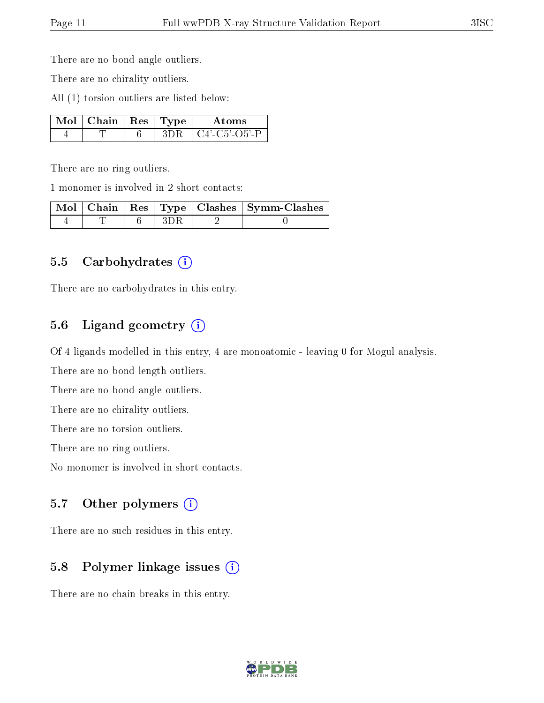There are no bond angle outliers.

There are no chirality outliers.

All (1) torsion outliers are listed below:

| $\overline{\text{Mol}}$   Chain   Res   Type ' |  | Atoms              |
|------------------------------------------------|--|--------------------|
|                                                |  | $+$ C4'-C5'-O5'-P. |

There are no ring outliers.

1 monomer is involved in 2 short contacts:

|  |  | Mol   Chain   Res   Type   Clashes   Symm-Clashes |
|--|--|---------------------------------------------------|
|  |  |                                                   |

#### 5.5 Carbohydrates  $(i)$

There are no carbohydrates in this entry.

### 5.6 Ligand geometry  $(i)$

Of 4 ligands modelled in this entry, 4 are monoatomic - leaving 0 for Mogul analysis.

There are no bond length outliers.

There are no bond angle outliers.

There are no chirality outliers.

There are no torsion outliers.

There are no ring outliers.

No monomer is involved in short contacts.

### 5.7 [O](https://www.wwpdb.org/validation/2017/XrayValidationReportHelp#nonstandard_residues_and_ligands)ther polymers (i)

There are no such residues in this entry.

### 5.8 Polymer linkage issues  $(i)$

There are no chain breaks in this entry.

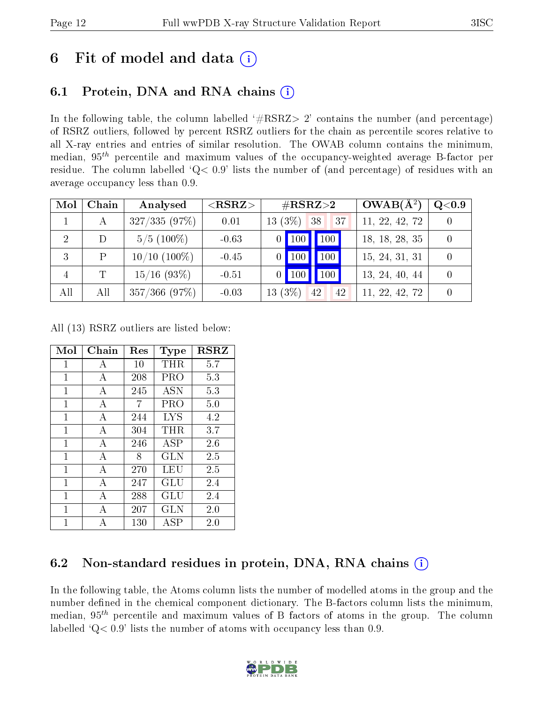# 6 Fit of model and data  $\left( \cdot \right)$

# 6.1 Protein, DNA and RNA chains (i)

In the following table, the column labelled  $#RSRZ>2'$  contains the number (and percentage) of RSRZ outliers, followed by percent RSRZ outliers for the chain as percentile scores relative to all X-ray entries and entries of similar resolution. The OWAB column contains the minimum, median,  $95<sup>th</sup>$  percentile and maximum values of the occupancy-weighted average B-factor per residue. The column labelled ' $Q< 0.9$ ' lists the number of (and percentage) of residues with an average occupancy less than 0.9.

| Mol            | Chain       | Analysed        | ${ <\hspace{-1.5pt}{\mathrm{RSRZ}} \hspace{-1.5pt}>}$ | $\rm \#RSRZ{>}2$                                | $OWAB(A^2)$    | Q <sub>0.9</sub> |
|----------------|-------------|-----------------|-------------------------------------------------------|-------------------------------------------------|----------------|------------------|
|                | A           | 327/335(97%)    | 0.01                                                  | $13(3\%)$ 38<br> 37                             | 11, 22, 42, 72 |                  |
| 2              | D           | $5/5(100\%)$    | $-0.63$                                               | $\vert\vert$ 100 $\vert$<br>100                 | 18, 18, 28, 35 |                  |
| 3              | P           | $10/10$ (100\%) | $-0.45$                                               | $\sqrt{100}$<br>100                             | 15, 24, 31, 31 |                  |
| $\overline{4}$ | $\mathbf T$ | $15/16$ (93\%)  | $-0.51$                                               | $\vert\vert$ 100 $\vert$<br>$\vert$ 100 $\vert$ | 13, 24, 40, 44 |                  |
| All            | All         | $357/366$ (97%) | $-0.03$                                               | $13(3\%)$<br>42<br>42                           | 11, 22, 42, 72 |                  |

All (13) RSRZ outliers are listed below:

| Mol          | Chain | Res | <b>Type</b> | <b>RSRZ</b> |
|--------------|-------|-----|-------------|-------------|
| $\mathbf{1}$ | A     | 10  | THR         | 5.7         |
| 1            | А     | 208 | PRO         | 5.3         |
| $\mathbf{1}$ | А     | 245 | <b>ASN</b>  | 5.3         |
| 1            | А     | 7   | PRO         | 5.0         |
| $\mathbf{1}$ | А     | 244 | <b>LYS</b>  | 4.2         |
| $\mathbf{1}$ | А     | 304 | THR         | 3.7         |
| $\mathbf{1}$ | А     | 246 | <b>ASP</b>  | 2.6         |
| $\mathbf{1}$ | A     | 8   | GLN         | 2.5         |
| 1            | А     | 270 | LEU         | $2.5\,$     |
| 1            | А     | 247 | GLU         | 2.4         |
| 1            | A     | 288 | GLU         | 2.4         |
| 1            | А     | 207 | GLN         | 2.0         |
| 1            | А     | 130 | ASP         | 2.0         |

# 6.2 Non-standard residues in protein, DNA, RNA chains  $(i)$

In the following table, the Atoms column lists the number of modelled atoms in the group and the number defined in the chemical component dictionary. The B-factors column lists the minimum, median,  $95<sup>th</sup>$  percentile and maximum values of B factors of atoms in the group. The column labelled  $Q< 0.9$ ' lists the number of atoms with occupancy less than 0.9.